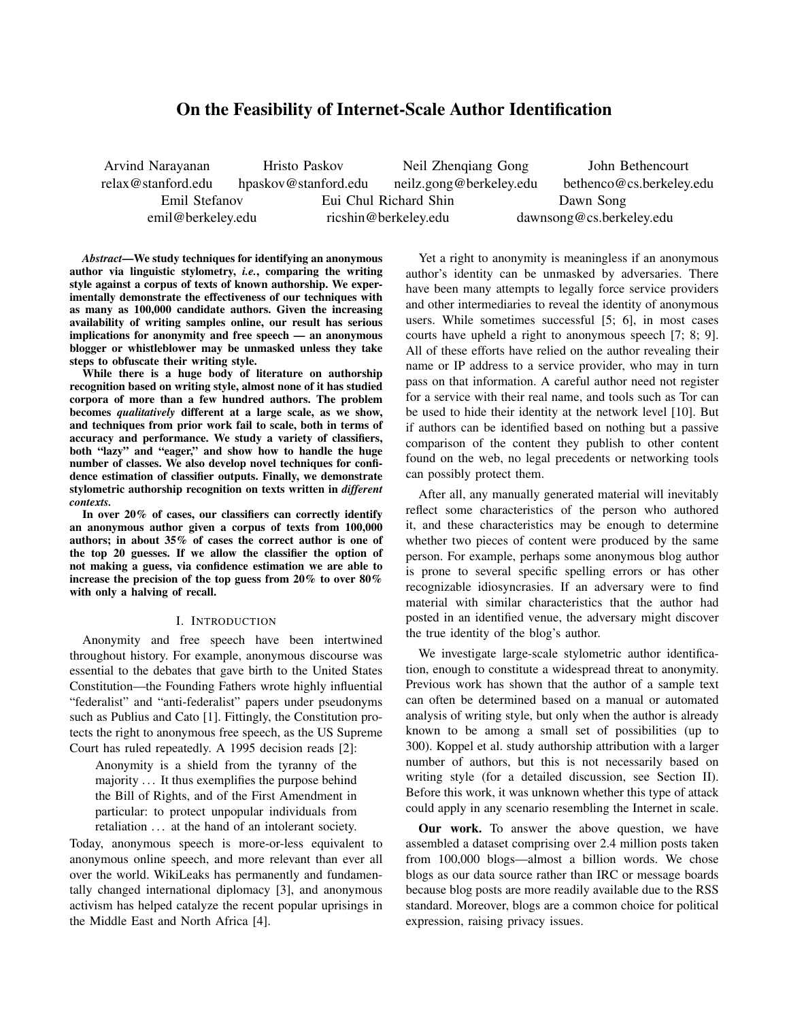# On the Feasibility of Internet-Scale Author Identification

Arvind Narayanan relax@stanford.edu Hristo Paskov hpaskov@stanford.edu Neil Zhenqiang Gong neilz.gong@berkeley.edu John Bethencourt bethenco@cs.berkeley.edu Emil Stefanov emil@berkeley.edu Eui Chul Richard Shin ricshin@berkeley.edu Dawn Song dawnsong@cs.berkeley.edu

*Abstract*—We study techniques for identifying an anonymous author via linguistic stylometry, *i.e.*, comparing the writing style against a corpus of texts of known authorship. We experimentally demonstrate the effectiveness of our techniques with as many as 100,000 candidate authors. Given the increasing availability of writing samples online, our result has serious implications for anonymity and free speech — an anonymous blogger or whistleblower may be unmasked unless they take steps to obfuscate their writing style.

While there is a huge body of literature on authorship recognition based on writing style, almost none of it has studied corpora of more than a few hundred authors. The problem becomes *qualitatively* different at a large scale, as we show, and techniques from prior work fail to scale, both in terms of accuracy and performance. We study a variety of classifiers, both "lazy" and "eager," and show how to handle the huge number of classes. We also develop novel techniques for confidence estimation of classifier outputs. Finally, we demonstrate stylometric authorship recognition on texts written in *different contexts.*

In over 20% of cases, our classifiers can correctly identify an anonymous author given a corpus of texts from 100,000 authors; in about 35% of cases the correct author is one of the top 20 guesses. If we allow the classifier the option of not making a guess, via confidence estimation we are able to increase the precision of the top guess from 20% to over 80% with only a halving of recall.

### I. INTRODUCTION

Anonymity and free speech have been intertwined throughout history. For example, anonymous discourse was essential to the debates that gave birth to the United States Constitution—the Founding Fathers wrote highly influential "federalist" and "anti-federalist" papers under pseudonyms such as Publius and Cato [1]. Fittingly, the Constitution protects the right to anonymous free speech, as the US Supreme Court has ruled repeatedly. A 1995 decision reads [2]:

Anonymity is a shield from the tyranny of the majority . . . It thus exemplifies the purpose behind the Bill of Rights, and of the First Amendment in particular: to protect unpopular individuals from retaliation ... at the hand of an intolerant society.

Today, anonymous speech is more-or-less equivalent to anonymous online speech, and more relevant than ever all over the world. WikiLeaks has permanently and fundamentally changed international diplomacy [3], and anonymous activism has helped catalyze the recent popular uprisings in the Middle East and North Africa [4].

Yet a right to anonymity is meaningless if an anonymous author's identity can be unmasked by adversaries. There have been many attempts to legally force service providers and other intermediaries to reveal the identity of anonymous users. While sometimes successful [5; 6], in most cases courts have upheld a right to anonymous speech [7; 8; 9]. All of these efforts have relied on the author revealing their name or IP address to a service provider, who may in turn pass on that information. A careful author need not register for a service with their real name, and tools such as Tor can be used to hide their identity at the network level [10]. But if authors can be identified based on nothing but a passive comparison of the content they publish to other content found on the web, no legal precedents or networking tools can possibly protect them.

After all, any manually generated material will inevitably reflect some characteristics of the person who authored it, and these characteristics may be enough to determine whether two pieces of content were produced by the same person. For example, perhaps some anonymous blog author is prone to several specific spelling errors or has other recognizable idiosyncrasies. If an adversary were to find material with similar characteristics that the author had posted in an identified venue, the adversary might discover the true identity of the blog's author.

We investigate large-scale stylometric author identification, enough to constitute a widespread threat to anonymity. Previous work has shown that the author of a sample text can often be determined based on a manual or automated analysis of writing style, but only when the author is already known to be among a small set of possibilities (up to 300). Koppel et al. study authorship attribution with a larger number of authors, but this is not necessarily based on writing style (for a detailed discussion, see Section II). Before this work, it was unknown whether this type of attack could apply in any scenario resembling the Internet in scale.

Our work. To answer the above question, we have assembled a dataset comprising over 2.4 million posts taken from 100,000 blogs—almost a billion words. We chose blogs as our data source rather than IRC or message boards because blog posts are more readily available due to the RSS standard. Moreover, blogs are a common choice for political expression, raising privacy issues.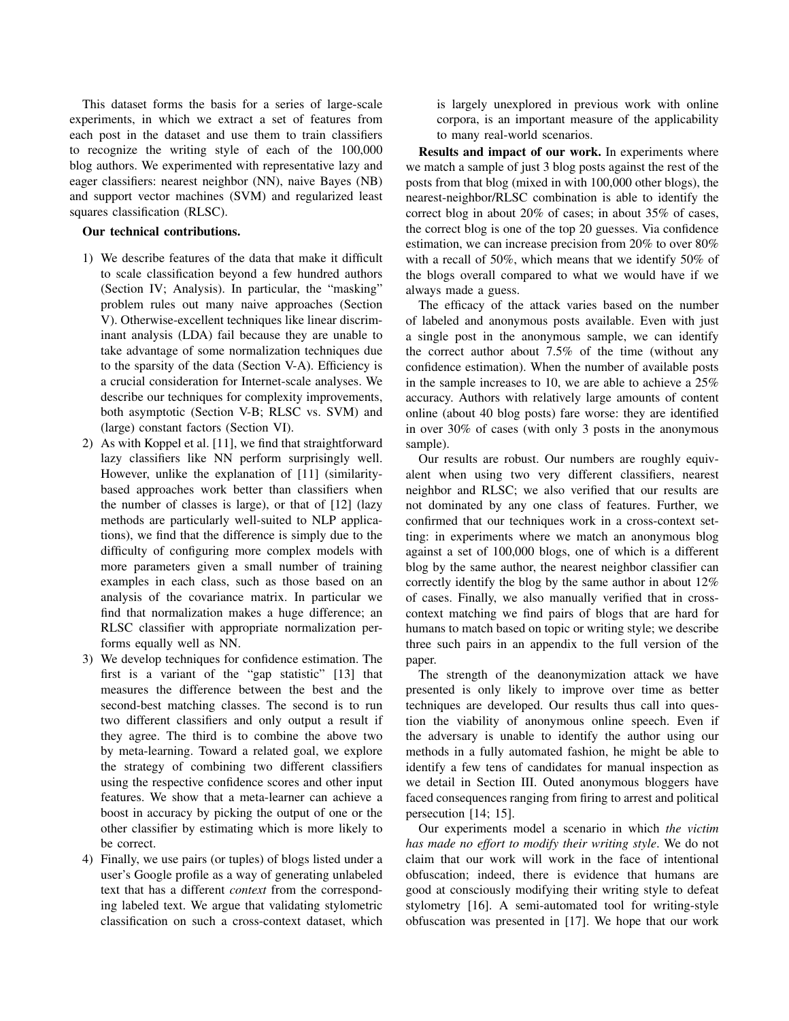This dataset forms the basis for a series of large-scale experiments, in which we extract a set of features from each post in the dataset and use them to train classifiers to recognize the writing style of each of the 100,000 blog authors. We experimented with representative lazy and eager classifiers: nearest neighbor (NN), naive Bayes (NB) and support vector machines (SVM) and regularized least squares classification (RLSC).

## Our technical contributions.

- 1) We describe features of the data that make it difficult to scale classification beyond a few hundred authors (Section IV; Analysis). In particular, the "masking" problem rules out many naive approaches (Section V). Otherwise-excellent techniques like linear discriminant analysis (LDA) fail because they are unable to take advantage of some normalization techniques due to the sparsity of the data (Section V-A). Efficiency is a crucial consideration for Internet-scale analyses. We describe our techniques for complexity improvements, both asymptotic (Section V-B; RLSC vs. SVM) and (large) constant factors (Section VI).
- 2) As with Koppel et al. [11], we find that straightforward lazy classifiers like NN perform surprisingly well. However, unlike the explanation of [11] (similaritybased approaches work better than classifiers when the number of classes is large), or that of [12] (lazy methods are particularly well-suited to NLP applications), we find that the difference is simply due to the difficulty of configuring more complex models with more parameters given a small number of training examples in each class, such as those based on an analysis of the covariance matrix. In particular we find that normalization makes a huge difference; an RLSC classifier with appropriate normalization performs equally well as NN.
- 3) We develop techniques for confidence estimation. The first is a variant of the "gap statistic" [13] that measures the difference between the best and the second-best matching classes. The second is to run two different classifiers and only output a result if they agree. The third is to combine the above two by meta-learning. Toward a related goal, we explore the strategy of combining two different classifiers using the respective confidence scores and other input features. We show that a meta-learner can achieve a boost in accuracy by picking the output of one or the other classifier by estimating which is more likely to be correct.
- 4) Finally, we use pairs (or tuples) of blogs listed under a user's Google profile as a way of generating unlabeled text that has a different *context* from the corresponding labeled text. We argue that validating stylometric classification on such a cross-context dataset, which

is largely unexplored in previous work with online corpora, is an important measure of the applicability to many real-world scenarios.

Results and impact of our work. In experiments where we match a sample of just 3 blog posts against the rest of the posts from that blog (mixed in with 100,000 other blogs), the nearest-neighbor/RLSC combination is able to identify the correct blog in about 20% of cases; in about 35% of cases, the correct blog is one of the top 20 guesses. Via confidence estimation, we can increase precision from 20% to over 80% with a recall of 50%, which means that we identify 50% of the blogs overall compared to what we would have if we always made a guess.

The efficacy of the attack varies based on the number of labeled and anonymous posts available. Even with just a single post in the anonymous sample, we can identify the correct author about 7.5% of the time (without any confidence estimation). When the number of available posts in the sample increases to 10, we are able to achieve a 25% accuracy. Authors with relatively large amounts of content online (about 40 blog posts) fare worse: they are identified in over 30% of cases (with only 3 posts in the anonymous sample).

Our results are robust. Our numbers are roughly equivalent when using two very different classifiers, nearest neighbor and RLSC; we also verified that our results are not dominated by any one class of features. Further, we confirmed that our techniques work in a cross-context setting: in experiments where we match an anonymous blog against a set of 100,000 blogs, one of which is a different blog by the same author, the nearest neighbor classifier can correctly identify the blog by the same author in about 12% of cases. Finally, we also manually verified that in crosscontext matching we find pairs of blogs that are hard for humans to match based on topic or writing style; we describe three such pairs in an appendix to the full version of the paper.

The strength of the deanonymization attack we have presented is only likely to improve over time as better techniques are developed. Our results thus call into question the viability of anonymous online speech. Even if the adversary is unable to identify the author using our methods in a fully automated fashion, he might be able to identify a few tens of candidates for manual inspection as we detail in Section III. Outed anonymous bloggers have faced consequences ranging from firing to arrest and political persecution [14; 15].

Our experiments model a scenario in which *the victim has made no effort to modify their writing style*. We do not claim that our work will work in the face of intentional obfuscation; indeed, there is evidence that humans are good at consciously modifying their writing style to defeat stylometry [16]. A semi-automated tool for writing-style obfuscation was presented in [17]. We hope that our work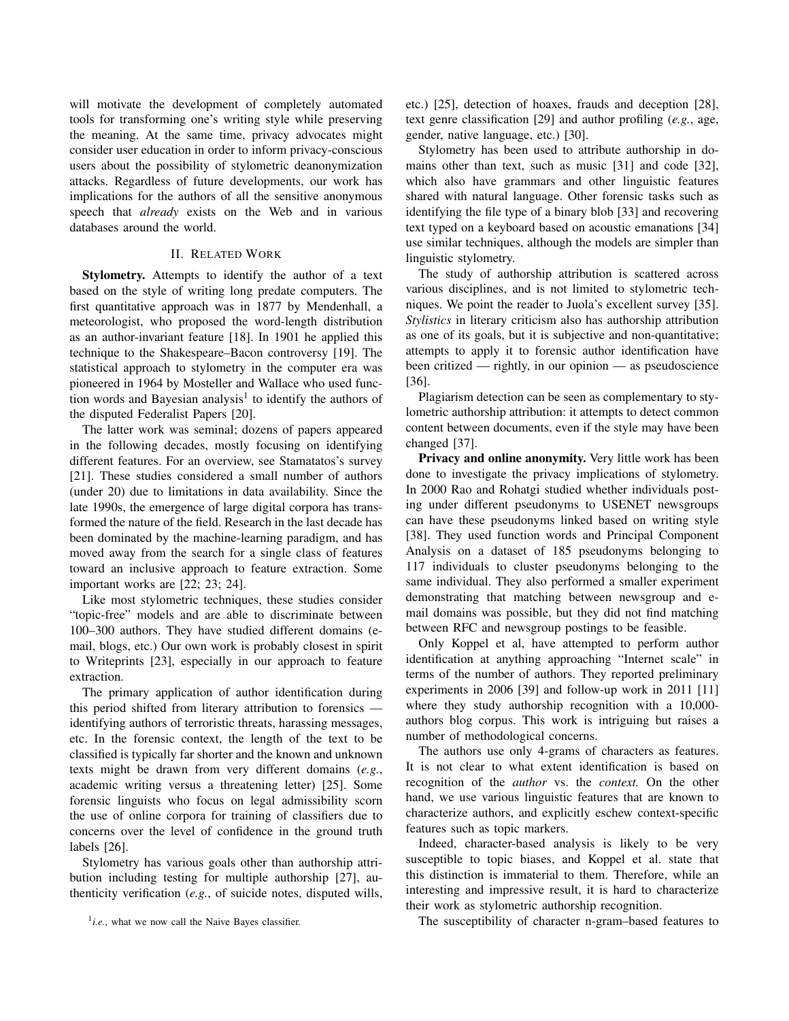will motivate the development of completely automated tools for transforming one's writing style while preserving the meaning. At the same time, privacy advocates might consider user education in order to inform privacy-conscious users about the possibility of stylometric deanonymization attacks. Regardless of future developments, our work has implications for the authors of all the sensitive anonymous speech that *already* exists on the Web and in various databases around the world.

## II. RELATED WORK

Stylometry. Attempts to identify the author of a text based on the style of writing long predate computers. The first quantitative approach was in 1877 by Mendenhall, a meteorologist, who proposed the word-length distribution as an author-invariant feature [18]. In 1901 he applied this technique to the Shakespeare–Bacon controversy [19]. The statistical approach to stylometry in the computer era was pioneered in 1964 by Mosteller and Wallace who used function words and Bayesian analysis<sup>1</sup> to identify the authors of the disputed Federalist Papers [20].

The latter work was seminal; dozens of papers appeared in the following decades, mostly focusing on identifying different features. For an overview, see Stamatatos's survey [21]. These studies considered a small number of authors (under 20) due to limitations in data availability. Since the late 1990s, the emergence of large digital corpora has transformed the nature of the field. Research in the last decade has been dominated by the machine-learning paradigm, and has moved away from the search for a single class of features toward an inclusive approach to feature extraction. Some important works are [22; 23; 24].

Like most stylometric techniques, these studies consider "topic-free" models and are able to discriminate between 100–300 authors. They have studied different domains (email, blogs, etc.) Our own work is probably closest in spirit to Writeprints [23], especially in our approach to feature extraction.

The primary application of author identification during this period shifted from literary attribution to forensics identifying authors of terroristic threats, harassing messages, etc. In the forensic context, the length of the text to be classified is typically far shorter and the known and unknown texts might be drawn from very different domains (*e.g.*, academic writing versus a threatening letter) [25]. Some forensic linguists who focus on legal admissibility scorn the use of online corpora for training of classifiers due to concerns over the level of confidence in the ground truth labels [26].

Stylometry has various goals other than authorship attribution including testing for multiple authorship [27], authenticity verification (*e.g.*, of suicide notes, disputed wills, etc.) [25], detection of hoaxes, frauds and deception [28], text genre classification [29] and author profiling (*e.g.*, age, gender, native language, etc.) [30].

Stylometry has been used to attribute authorship in domains other than text, such as music [31] and code [32], which also have grammars and other linguistic features shared with natural language. Other forensic tasks such as identifying the file type of a binary blob [33] and recovering text typed on a keyboard based on acoustic emanations [34] use similar techniques, although the models are simpler than linguistic stylometry.

The study of authorship attribution is scattered across various disciplines, and is not limited to stylometric techniques. We point the reader to Juola's excellent survey [35]. *Stylistics* in literary criticism also has authorship attribution as one of its goals, but it is subjective and non-quantitative; attempts to apply it to forensic author identification have been critized — rightly, in our opinion — as pseudoscience [36].

Plagiarism detection can be seen as complementary to stylometric authorship attribution: it attempts to detect common content between documents, even if the style may have been changed [37].

Privacy and online anonymity. Very little work has been done to investigate the privacy implications of stylometry. In 2000 Rao and Rohatgi studied whether individuals posting under different pseudonyms to USENET newsgroups can have these pseudonyms linked based on writing style [38]. They used function words and Principal Component Analysis on a dataset of 185 pseudonyms belonging to 117 individuals to cluster pseudonyms belonging to the same individual. They also performed a smaller experiment demonstrating that matching between newsgroup and email domains was possible, but they did not find matching between RFC and newsgroup postings to be feasible.

Only Koppel et al, have attempted to perform author identification at anything approaching "Internet scale" in terms of the number of authors. They reported preliminary experiments in 2006 [39] and follow-up work in 2011 [11] where they study authorship recognition with a 10,000 authors blog corpus. This work is intriguing but raises a number of methodological concerns.

The authors use only 4-grams of characters as features. It is not clear to what extent identification is based on recognition of the *author* vs. the *context.* On the other hand, we use various linguistic features that are known to characterize authors, and explicitly eschew context-specific features such as topic markers.

Indeed, character-based analysis is likely to be very susceptible to topic biases, and Koppel et al. state that this distinction is immaterial to them. Therefore, while an interesting and impressive result, it is hard to characterize their work as stylometric authorship recognition.

The susceptibility of character n-gram–based features to

 $<sup>1</sup>$ *i.e.*, what we now call the Naive Bayes classifier.</sup>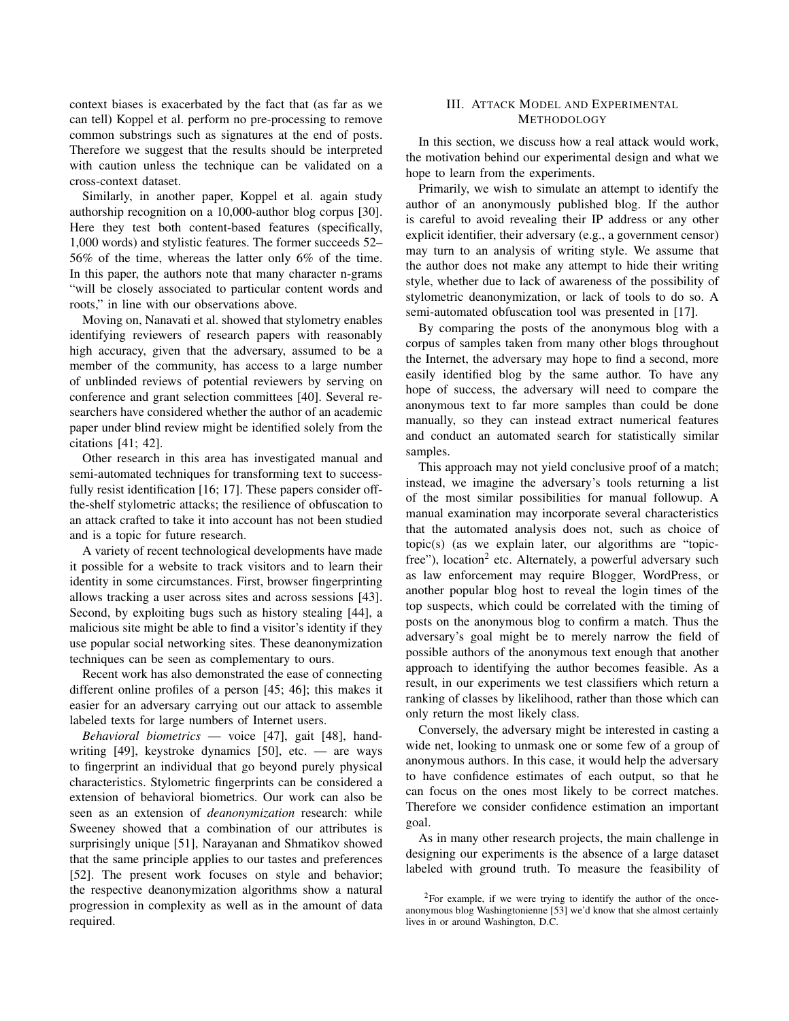context biases is exacerbated by the fact that (as far as we can tell) Koppel et al. perform no pre-processing to remove common substrings such as signatures at the end of posts. Therefore we suggest that the results should be interpreted with caution unless the technique can be validated on a cross-context dataset.

Similarly, in another paper, Koppel et al. again study authorship recognition on a 10,000-author blog corpus [30]. Here they test both content-based features (specifically, 1,000 words) and stylistic features. The former succeeds 52– 56% of the time, whereas the latter only 6% of the time. In this paper, the authors note that many character n-grams "will be closely associated to particular content words and roots," in line with our observations above.

Moving on, Nanavati et al. showed that stylometry enables identifying reviewers of research papers with reasonably high accuracy, given that the adversary, assumed to be a member of the community, has access to a large number of unblinded reviews of potential reviewers by serving on conference and grant selection committees [40]. Several researchers have considered whether the author of an academic paper under blind review might be identified solely from the citations [41; 42].

Other research in this area has investigated manual and semi-automated techniques for transforming text to successfully resist identification [16; 17]. These papers consider offthe-shelf stylometric attacks; the resilience of obfuscation to an attack crafted to take it into account has not been studied and is a topic for future research.

A variety of recent technological developments have made it possible for a website to track visitors and to learn their identity in some circumstances. First, browser fingerprinting allows tracking a user across sites and across sessions [43]. Second, by exploiting bugs such as history stealing [44], a malicious site might be able to find a visitor's identity if they use popular social networking sites. These deanonymization techniques can be seen as complementary to ours.

Recent work has also demonstrated the ease of connecting different online profiles of a person [45; 46]; this makes it easier for an adversary carrying out our attack to assemble labeled texts for large numbers of Internet users.

*Behavioral biometrics* — voice [47], gait [48], handwriting  $[49]$ , keystroke dynamics  $[50]$ , etc. — are ways to fingerprint an individual that go beyond purely physical characteristics. Stylometric fingerprints can be considered a extension of behavioral biometrics. Our work can also be seen as an extension of *deanonymization* research: while Sweeney showed that a combination of our attributes is surprisingly unique [51], Narayanan and Shmatikov showed that the same principle applies to our tastes and preferences [52]. The present work focuses on style and behavior; the respective deanonymization algorithms show a natural progression in complexity as well as in the amount of data required.

## III. ATTACK MODEL AND EXPERIMENTAL **METHODOLOGY**

In this section, we discuss how a real attack would work, the motivation behind our experimental design and what we hope to learn from the experiments.

Primarily, we wish to simulate an attempt to identify the author of an anonymously published blog. If the author is careful to avoid revealing their IP address or any other explicit identifier, their adversary (e.g., a government censor) may turn to an analysis of writing style. We assume that the author does not make any attempt to hide their writing style, whether due to lack of awareness of the possibility of stylometric deanonymization, or lack of tools to do so. A semi-automated obfuscation tool was presented in [17].

By comparing the posts of the anonymous blog with a corpus of samples taken from many other blogs throughout the Internet, the adversary may hope to find a second, more easily identified blog by the same author. To have any hope of success, the adversary will need to compare the anonymous text to far more samples than could be done manually, so they can instead extract numerical features and conduct an automated search for statistically similar samples.

This approach may not yield conclusive proof of a match; instead, we imagine the adversary's tools returning a list of the most similar possibilities for manual followup. A manual examination may incorporate several characteristics that the automated analysis does not, such as choice of topic(s) (as we explain later, our algorithms are "topicfree"), location<sup>2</sup> etc. Alternately, a powerful adversary such as law enforcement may require Blogger, WordPress, or another popular blog host to reveal the login times of the top suspects, which could be correlated with the timing of posts on the anonymous blog to confirm a match. Thus the adversary's goal might be to merely narrow the field of possible authors of the anonymous text enough that another approach to identifying the author becomes feasible. As a result, in our experiments we test classifiers which return a ranking of classes by likelihood, rather than those which can only return the most likely class.

Conversely, the adversary might be interested in casting a wide net, looking to unmask one or some few of a group of anonymous authors. In this case, it would help the adversary to have confidence estimates of each output, so that he can focus on the ones most likely to be correct matches. Therefore we consider confidence estimation an important goal.

As in many other research projects, the main challenge in designing our experiments is the absence of a large dataset labeled with ground truth. To measure the feasibility of

<sup>2</sup>For example, if we were trying to identify the author of the onceanonymous blog Washingtonienne [53] we'd know that she almost certainly lives in or around Washington, D.C.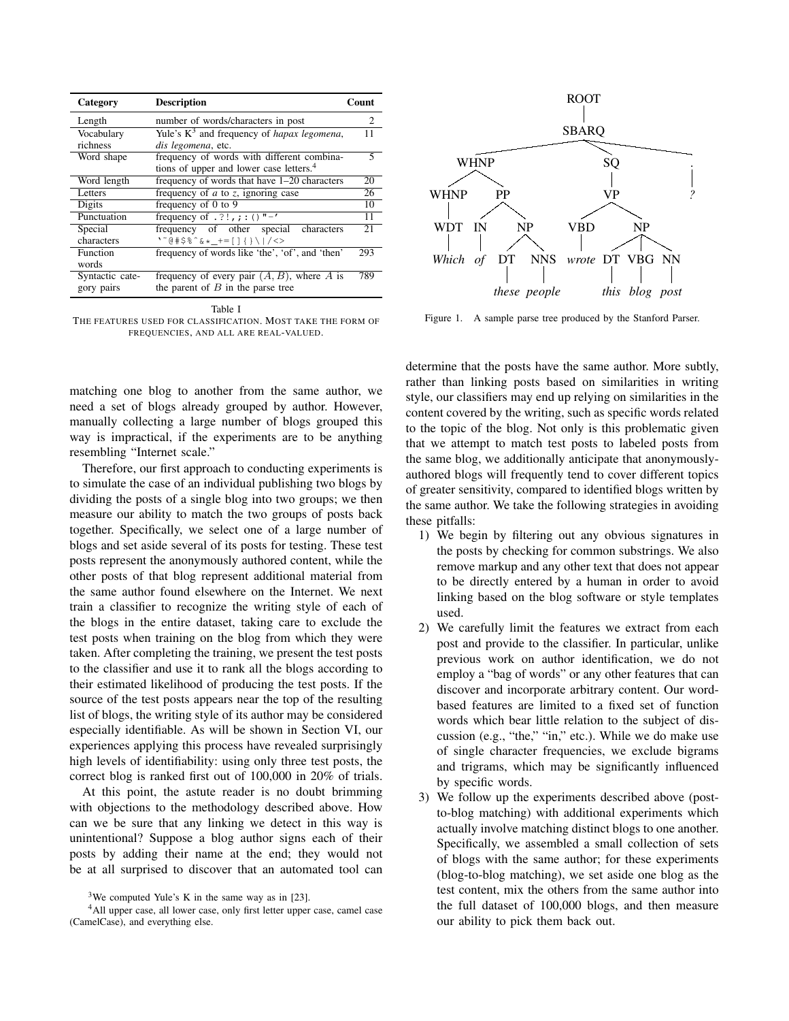| Category        | <b>Description</b>                                    | Count                       |
|-----------------|-------------------------------------------------------|-----------------------------|
| Length          | number of words/characters in post                    | $\mathcal{D}_{\mathcal{L}}$ |
| Vocabulary      | Yule's $K^3$ and frequency of <i>hapax legomena</i> , | 11                          |
| richness        | dis legomena, etc.                                    |                             |
| Word shape      | frequency of words with different combina-            | 5                           |
|                 | tions of upper and lower case letters. <sup>4</sup>   |                             |
| Word length     | frequency of words that have 1-20 characters          | 20                          |
| Letters         | frequency of $a$ to $z$ , ignoring case               | 26                          |
| Digits          | frequency of 0 to 9                                   | 10                          |
| Punctuation     | frequency of $. ? !$ , ; : () "-'                     | 11                          |
| Special         | frequency of other special characters                 | 21                          |
| characters      | \~@#\$%^&*_+=[]{}\ /<>                                |                             |
| Function        | frequency of words like 'the', 'of', and 'then'       | 293                         |
| words           |                                                       |                             |
| Syntactic cate- | frequency of every pair $(A, B)$ , where A is         | 789                         |
| gory pairs      | the parent of $B$ in the parse tree                   |                             |

Table I THE FEATURES USED FOR CLASSIFICATION. MOST TAKE THE FORM OF FREQUENCIES, AND ALL ARE REAL-VALUED.

matching one blog to another from the same author, we need a set of blogs already grouped by author. However, manually collecting a large number of blogs grouped this way is impractical, if the experiments are to be anything resembling "Internet scale."

Therefore, our first approach to conducting experiments is to simulate the case of an individual publishing two blogs by dividing the posts of a single blog into two groups; we then measure our ability to match the two groups of posts back together. Specifically, we select one of a large number of blogs and set aside several of its posts for testing. These test posts represent the anonymously authored content, while the other posts of that blog represent additional material from the same author found elsewhere on the Internet. We next train a classifier to recognize the writing style of each of the blogs in the entire dataset, taking care to exclude the test posts when training on the blog from which they were taken. After completing the training, we present the test posts to the classifier and use it to rank all the blogs according to their estimated likelihood of producing the test posts. If the source of the test posts appears near the top of the resulting list of blogs, the writing style of its author may be considered especially identifiable. As will be shown in Section VI, our experiences applying this process have revealed surprisingly high levels of identifiability: using only three test posts, the correct blog is ranked first out of 100,000 in 20% of trials.

At this point, the astute reader is no doubt brimming with objections to the methodology described above. How can we be sure that any linking we detect in this way is unintentional? Suppose a blog author signs each of their posts by adding their name at the end; they would not be at all surprised to discover that an automated tool can



Figure 1. A sample parse tree produced by the Stanford Parser.

determine that the posts have the same author. More subtly, rather than linking posts based on similarities in writing style, our classifiers may end up relying on similarities in the content covered by the writing, such as specific words related to the topic of the blog. Not only is this problematic given that we attempt to match test posts to labeled posts from the same blog, we additionally anticipate that anonymouslyauthored blogs will frequently tend to cover different topics of greater sensitivity, compared to identified blogs written by the same author. We take the following strategies in avoiding these pitfalls:

- 1) We begin by filtering out any obvious signatures in the posts by checking for common substrings. We also remove markup and any other text that does not appear to be directly entered by a human in order to avoid linking based on the blog software or style templates used.
- 2) We carefully limit the features we extract from each post and provide to the classifier. In particular, unlike previous work on author identification, we do not employ a "bag of words" or any other features that can discover and incorporate arbitrary content. Our wordbased features are limited to a fixed set of function words which bear little relation to the subject of discussion (e.g., "the," "in," etc.). While we do make use of single character frequencies, we exclude bigrams and trigrams, which may be significantly influenced by specific words.
- 3) We follow up the experiments described above (postto-blog matching) with additional experiments which actually involve matching distinct blogs to one another. Specifically, we assembled a small collection of sets of blogs with the same author; for these experiments (blog-to-blog matching), we set aside one blog as the test content, mix the others from the same author into the full dataset of 100,000 blogs, and then measure our ability to pick them back out.

<sup>&</sup>lt;sup>3</sup>We computed Yule's K in the same way as in [23].

<sup>4</sup>All upper case, all lower case, only first letter upper case, camel case (CamelCase), and everything else.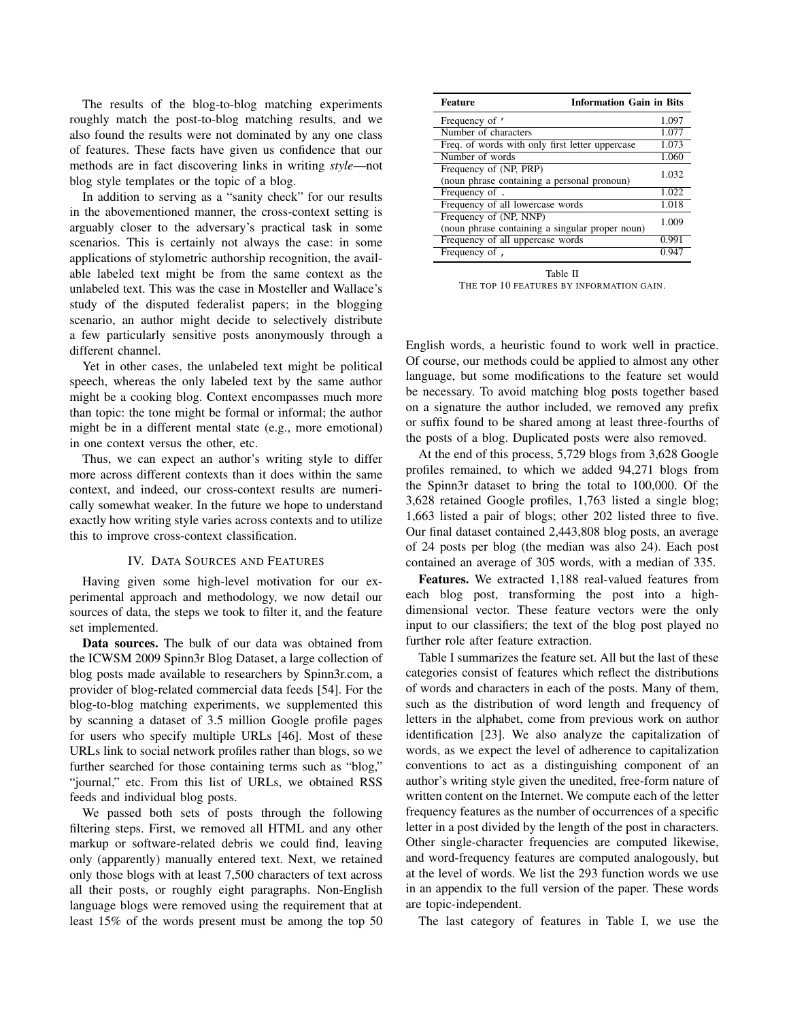The results of the blog-to-blog matching experiments roughly match the post-to-blog matching results, and we also found the results were not dominated by any one class of features. These facts have given us confidence that our methods are in fact discovering links in writing *style*—not blog style templates or the topic of a blog.

In addition to serving as a "sanity check" for our results in the abovementioned manner, the cross-context setting is arguably closer to the adversary's practical task in some scenarios. This is certainly not always the case: in some applications of stylometric authorship recognition, the available labeled text might be from the same context as the unlabeled text. This was the case in Mosteller and Wallace's study of the disputed federalist papers; in the blogging scenario, an author might decide to selectively distribute a few particularly sensitive posts anonymously through a different channel.

Yet in other cases, the unlabeled text might be political speech, whereas the only labeled text by the same author might be a cooking blog. Context encompasses much more than topic: the tone might be formal or informal; the author might be in a different mental state (e.g., more emotional) in one context versus the other, etc.

Thus, we can expect an author's writing style to differ more across different contexts than it does within the same context, and indeed, our cross-context results are numerically somewhat weaker. In the future we hope to understand exactly how writing style varies across contexts and to utilize this to improve cross-context classification.

### IV. DATA SOURCES AND FEATURES

Having given some high-level motivation for our experimental approach and methodology, we now detail our sources of data, the steps we took to filter it, and the feature set implemented.

Data sources. The bulk of our data was obtained from the ICWSM 2009 Spinn3r Blog Dataset, a large collection of blog posts made available to researchers by Spinn3r.com, a provider of blog-related commercial data feeds [54]. For the blog-to-blog matching experiments, we supplemented this by scanning a dataset of 3.5 million Google profile pages for users who specify multiple URLs [46]. Most of these URLs link to social network profiles rather than blogs, so we further searched for those containing terms such as "blog," "journal," etc. From this list of URLs, we obtained RSS feeds and individual blog posts.

We passed both sets of posts through the following filtering steps. First, we removed all HTML and any other markup or software-related debris we could find, leaving only (apparently) manually entered text. Next, we retained only those blogs with at least 7,500 characters of text across all their posts, or roughly eight paragraphs. Non-English language blogs were removed using the requirement that at least 15% of the words present must be among the top 50

| <b>Information Gain in Bits</b><br><b>Feature</b>                         |       |
|---------------------------------------------------------------------------|-------|
| Frequency of '                                                            | 1.097 |
| Number of characters                                                      | 1.077 |
| Freq. of words with only first letter uppercase                           | 1.073 |
| Number of words                                                           | 1.060 |
| Frequency of (NP, PRP)<br>(noun phrase containing a personal pronoun)     | 1.032 |
| Frequency of .                                                            | 1.022 |
| Frequency of all lowercase words                                          | 1.018 |
| Frequency of (NP, NNP)<br>(noun phrase containing a singular proper noun) | 1.009 |
| Frequency of all uppercase words                                          | 0.991 |
| Frequency of ,                                                            | 0.947 |

Table II THE TOP 10 FEATURES BY INFORMATION GAIN.

English words, a heuristic found to work well in practice. Of course, our methods could be applied to almost any other language, but some modifications to the feature set would be necessary. To avoid matching blog posts together based on a signature the author included, we removed any prefix or suffix found to be shared among at least three-fourths of the posts of a blog. Duplicated posts were also removed.

At the end of this process, 5,729 blogs from 3,628 Google profiles remained, to which we added 94,271 blogs from the Spinn3r dataset to bring the total to 100,000. Of the 3,628 retained Google profiles, 1,763 listed a single blog; 1,663 listed a pair of blogs; other 202 listed three to five. Our final dataset contained 2,443,808 blog posts, an average of 24 posts per blog (the median was also 24). Each post contained an average of 305 words, with a median of 335.

Features. We extracted 1,188 real-valued features from each blog post, transforming the post into a highdimensional vector. These feature vectors were the only input to our classifiers; the text of the blog post played no further role after feature extraction.

Table I summarizes the feature set. All but the last of these categories consist of features which reflect the distributions of words and characters in each of the posts. Many of them, such as the distribution of word length and frequency of letters in the alphabet, come from previous work on author identification [23]. We also analyze the capitalization of words, as we expect the level of adherence to capitalization conventions to act as a distinguishing component of an author's writing style given the unedited, free-form nature of written content on the Internet. We compute each of the letter frequency features as the number of occurrences of a specific letter in a post divided by the length of the post in characters. Other single-character frequencies are computed likewise, and word-frequency features are computed analogously, but at the level of words. We list the 293 function words we use in an appendix to the full version of the paper. These words are topic-independent.

The last category of features in Table I, we use the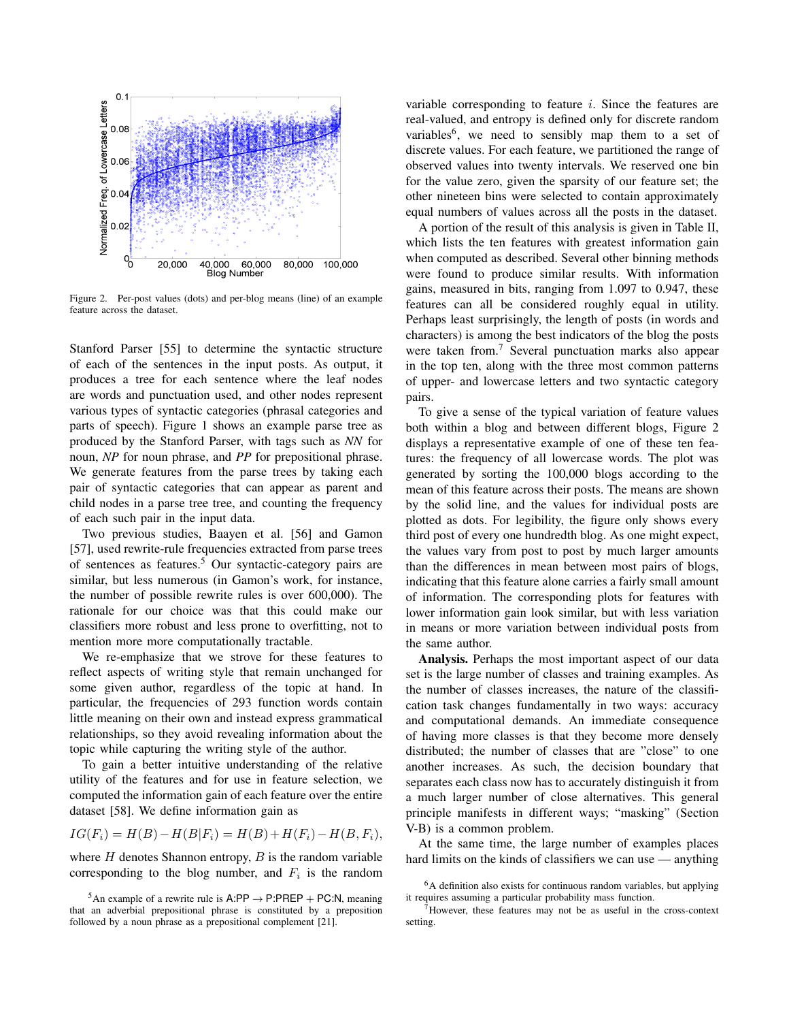

Figure 2. Per-post values (dots) and per-blog means (line) of an example feature across the dataset.

Stanford Parser [55] to determine the syntactic structure of each of the sentences in the input posts. As output, it produces a tree for each sentence where the leaf nodes are words and punctuation used, and other nodes represent various types of syntactic categories (phrasal categories and parts of speech). Figure 1 shows an example parse tree as produced by the Stanford Parser, with tags such as *NN* for noun, *NP* for noun phrase, and *PP* for prepositional phrase. We generate features from the parse trees by taking each pair of syntactic categories that can appear as parent and child nodes in a parse tree tree, and counting the frequency of each such pair in the input data.

Two previous studies, Baayen et al. [56] and Gamon [57], used rewrite-rule frequencies extracted from parse trees of sentences as features.<sup>5</sup> Our syntactic-category pairs are similar, but less numerous (in Gamon's work, for instance, the number of possible rewrite rules is over 600,000). The rationale for our choice was that this could make our classifiers more robust and less prone to overfitting, not to mention more more computationally tractable.

We re-emphasize that we strove for these features to reflect aspects of writing style that remain unchanged for some given author, regardless of the topic at hand. In particular, the frequencies of 293 function words contain little meaning on their own and instead express grammatical relationships, so they avoid revealing information about the topic while capturing the writing style of the author.

To gain a better intuitive understanding of the relative utility of the features and for use in feature selection, we computed the information gain of each feature over the entire dataset [58]. We define information gain as

$$
IG(F_i) = H(B) - H(B|F_i) = H(B) + H(F_i) - H(B, F_i),
$$

where  $H$  denotes Shannon entropy,  $B$  is the random variable corresponding to the blog number, and  $F_i$  is the random

variable corresponding to feature  $i$ . Since the features are real-valued, and entropy is defined only for discrete random variables<sup>6</sup>, we need to sensibly map them to a set of discrete values. For each feature, we partitioned the range of observed values into twenty intervals. We reserved one bin for the value zero, given the sparsity of our feature set; the other nineteen bins were selected to contain approximately equal numbers of values across all the posts in the dataset.

A portion of the result of this analysis is given in Table II, which lists the ten features with greatest information gain when computed as described. Several other binning methods were found to produce similar results. With information gains, measured in bits, ranging from 1.097 to 0.947, these features can all be considered roughly equal in utility. Perhaps least surprisingly, the length of posts (in words and characters) is among the best indicators of the blog the posts were taken from.<sup>7</sup> Several punctuation marks also appear in the top ten, along with the three most common patterns of upper- and lowercase letters and two syntactic category pairs.

To give a sense of the typical variation of feature values both within a blog and between different blogs, Figure 2 displays a representative example of one of these ten features: the frequency of all lowercase words. The plot was generated by sorting the 100,000 blogs according to the mean of this feature across their posts. The means are shown by the solid line, and the values for individual posts are plotted as dots. For legibility, the figure only shows every third post of every one hundredth blog. As one might expect, the values vary from post to post by much larger amounts than the differences in mean between most pairs of blogs, indicating that this feature alone carries a fairly small amount of information. The corresponding plots for features with lower information gain look similar, but with less variation in means or more variation between individual posts from the same author.

Analysis. Perhaps the most important aspect of our data set is the large number of classes and training examples. As the number of classes increases, the nature of the classification task changes fundamentally in two ways: accuracy and computational demands. An immediate consequence of having more classes is that they become more densely distributed; the number of classes that are "close" to one another increases. As such, the decision boundary that separates each class now has to accurately distinguish it from a much larger number of close alternatives. This general principle manifests in different ways; "masking" (Section V-B) is a common problem.

At the same time, the large number of examples places hard limits on the kinds of classifiers we can use — anything

<sup>&</sup>lt;sup>5</sup>An example of a rewrite rule is  $A:PP \rightarrow P:PREP + PC:N$ , meaning that an adverbial prepositional phrase is constituted by a preposition followed by a noun phrase as a prepositional complement [21].

<sup>6</sup>A definition also exists for continuous random variables, but applying it requires assuming a particular probability mass function.

 $7$ However, these features may not be as useful in the cross-context setting.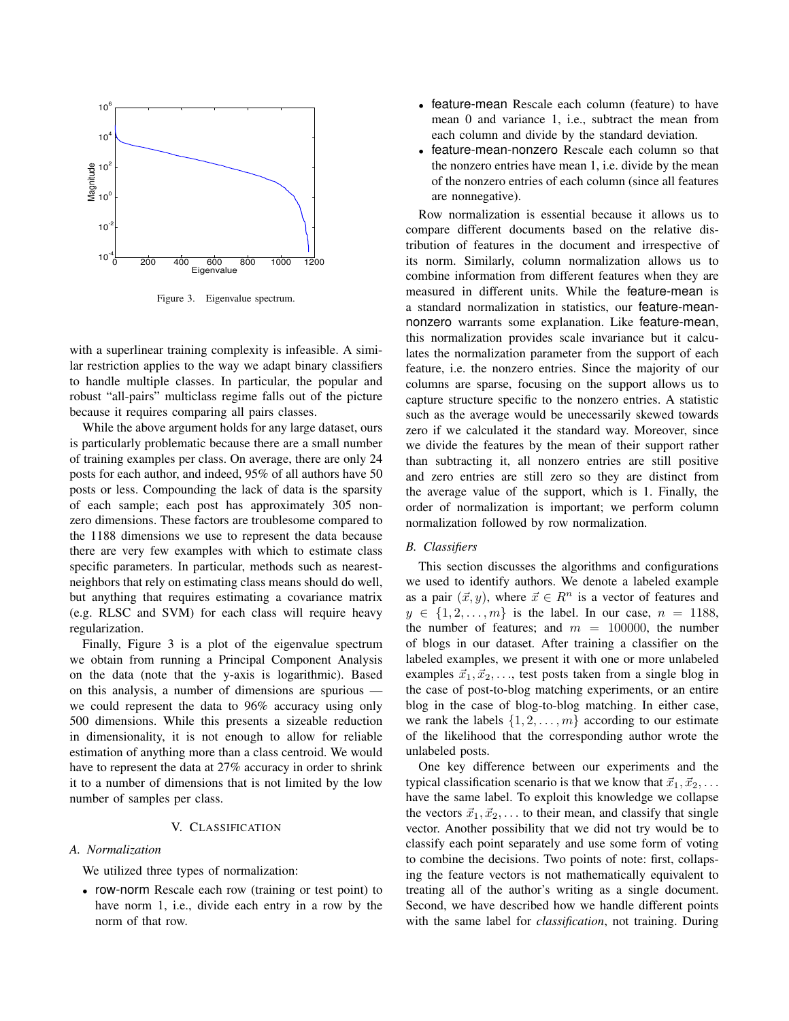

Figure 3. Eigenvalue spectrum.

with a superlinear training complexity is infeasible. A similar restriction applies to the way we adapt binary classifiers to handle multiple classes. In particular, the popular and robust "all-pairs" multiclass regime falls out of the picture because it requires comparing all pairs classes.

While the above argument holds for any large dataset, ours is particularly problematic because there are a small number of training examples per class. On average, there are only 24 posts for each author, and indeed, 95% of all authors have 50 posts or less. Compounding the lack of data is the sparsity of each sample; each post has approximately 305 nonzero dimensions. These factors are troublesome compared to the 1188 dimensions we use to represent the data because there are very few examples with which to estimate class specific parameters. In particular, methods such as nearestneighbors that rely on estimating class means should do well, but anything that requires estimating a covariance matrix (e.g. RLSC and SVM) for each class will require heavy regularization.

Finally, Figure 3 is a plot of the eigenvalue spectrum we obtain from running a Principal Component Analysis on the data (note that the y-axis is logarithmic). Based on this analysis, a number of dimensions are spurious we could represent the data to 96% accuracy using only 500 dimensions. While this presents a sizeable reduction in dimensionality, it is not enough to allow for reliable estimation of anything more than a class centroid. We would have to represent the data at 27% accuracy in order to shrink it to a number of dimensions that is not limited by the low number of samples per class.

## V. CLASSIFICATION

## *A. Normalization*

We utilized three types of normalization:

• row-norm Rescale each row (training or test point) to have norm 1, i.e., divide each entry in a row by the norm of that row.

- feature-mean Rescale each column (feature) to have mean 0 and variance 1, i.e., subtract the mean from each column and divide by the standard deviation.
- feature-mean-nonzero Rescale each column so that the nonzero entries have mean 1, i.e. divide by the mean of the nonzero entries of each column (since all features are nonnegative).

Row normalization is essential because it allows us to compare different documents based on the relative distribution of features in the document and irrespective of its norm. Similarly, column normalization allows us to combine information from different features when they are measured in different units. While the feature-mean is a standard normalization in statistics, our feature-meannonzero warrants some explanation. Like feature-mean, this normalization provides scale invariance but it calculates the normalization parameter from the support of each feature, i.e. the nonzero entries. Since the majority of our columns are sparse, focusing on the support allows us to capture structure specific to the nonzero entries. A statistic such as the average would be unecessarily skewed towards zero if we calculated it the standard way. Moreover, since we divide the features by the mean of their support rather than subtracting it, all nonzero entries are still positive and zero entries are still zero so they are distinct from the average value of the support, which is 1. Finally, the order of normalization is important; we perform column normalization followed by row normalization.

#### *B. Classifiers*

This section discusses the algorithms and configurations we used to identify authors. We denote a labeled example as a pair  $(\vec{x}, y)$ , where  $\vec{x} \in R^n$  is a vector of features and  $y \in \{1, 2, ..., m\}$  is the label. In our case,  $n = 1188$ , the number of features; and  $m = 100000$ , the number of blogs in our dataset. After training a classifier on the labeled examples, we present it with one or more unlabeled examples  $\vec{x}_1, \vec{x}_2, \ldots$ , test posts taken from a single blog in the case of post-to-blog matching experiments, or an entire blog in the case of blog-to-blog matching. In either case, we rank the labels  $\{1, 2, \ldots, m\}$  according to our estimate of the likelihood that the corresponding author wrote the unlabeled posts.

One key difference between our experiments and the typical classification scenario is that we know that  $\vec{x}_1, \vec{x}_2, \ldots$ have the same label. To exploit this knowledge we collapse the vectors  $\vec{x}_1, \vec{x}_2, \ldots$  to their mean, and classify that single vector. Another possibility that we did not try would be to classify each point separately and use some form of voting to combine the decisions. Two points of note: first, collapsing the feature vectors is not mathematically equivalent to treating all of the author's writing as a single document. Second, we have described how we handle different points with the same label for *classification*, not training. During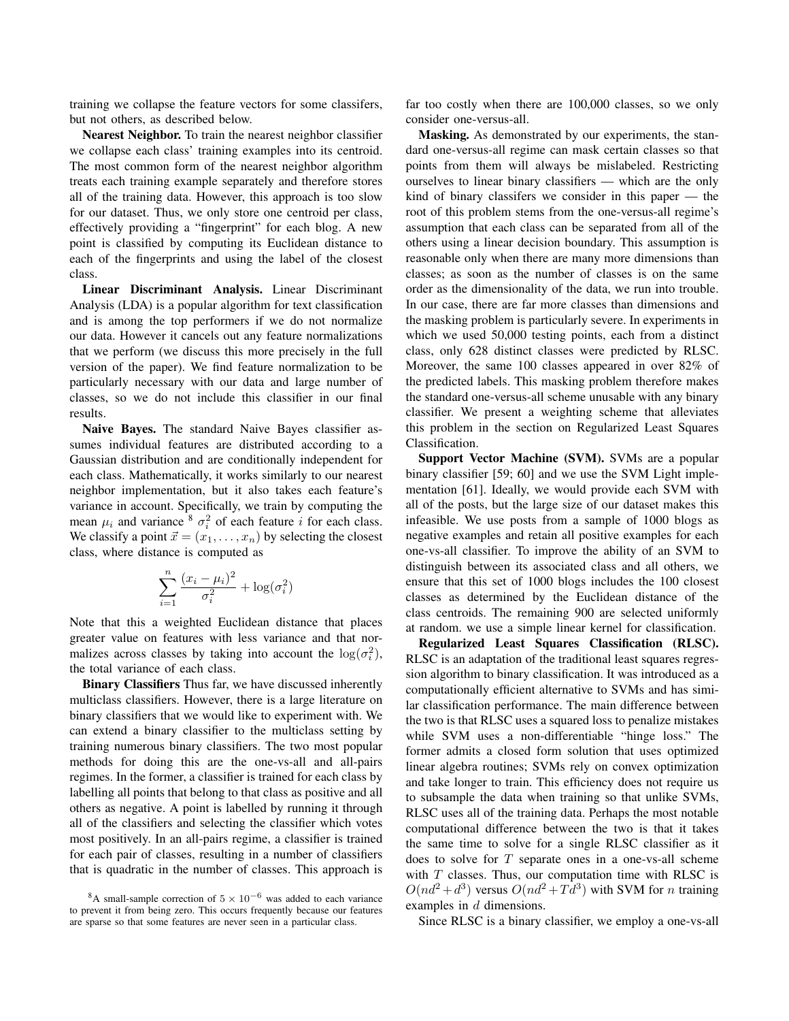training we collapse the feature vectors for some classifers, but not others, as described below.

Nearest Neighbor. To train the nearest neighbor classifier we collapse each class' training examples into its centroid. The most common form of the nearest neighbor algorithm treats each training example separately and therefore stores all of the training data. However, this approach is too slow for our dataset. Thus, we only store one centroid per class, effectively providing a "fingerprint" for each blog. A new point is classified by computing its Euclidean distance to each of the fingerprints and using the label of the closest class.

Linear Discriminant Analysis. Linear Discriminant Analysis (LDA) is a popular algorithm for text classification and is among the top performers if we do not normalize our data. However it cancels out any feature normalizations that we perform (we discuss this more precisely in the full version of the paper). We find feature normalization to be particularly necessary with our data and large number of classes, so we do not include this classifier in our final results.

Naive Bayes. The standard Naive Bayes classifier assumes individual features are distributed according to a Gaussian distribution and are conditionally independent for each class. Mathematically, it works similarly to our nearest neighbor implementation, but it also takes each feature's variance in account. Specifically, we train by computing the mean  $\mu_i$  and variance  $\delta \sigma_i^2$  of each feature *i* for each class. We classify a point  $\vec{x} = (x_1, \dots, x_n)$  by selecting the closest class, where distance is computed as

$$
\sum_{i=1}^{n} \frac{(x_i - \mu_i)^2}{\sigma_i^2} + \log(\sigma_i^2)
$$

Note that this a weighted Euclidean distance that places greater value on features with less variance and that normalizes across classes by taking into account the  $\log(\sigma_i^2)$ , the total variance of each class.

Binary Classifiers Thus far, we have discussed inherently multiclass classifiers. However, there is a large literature on binary classifiers that we would like to experiment with. We can extend a binary classifier to the multiclass setting by training numerous binary classifiers. The two most popular methods for doing this are the one-vs-all and all-pairs regimes. In the former, a classifier is trained for each class by labelling all points that belong to that class as positive and all others as negative. A point is labelled by running it through all of the classifiers and selecting the classifier which votes most positively. In an all-pairs regime, a classifier is trained for each pair of classes, resulting in a number of classifiers that is quadratic in the number of classes. This approach is far too costly when there are 100,000 classes, so we only consider one-versus-all.

Masking. As demonstrated by our experiments, the standard one-versus-all regime can mask certain classes so that points from them will always be mislabeled. Restricting ourselves to linear binary classifiers — which are the only kind of binary classifers we consider in this paper — the root of this problem stems from the one-versus-all regime's assumption that each class can be separated from all of the others using a linear decision boundary. This assumption is reasonable only when there are many more dimensions than classes; as soon as the number of classes is on the same order as the dimensionality of the data, we run into trouble. In our case, there are far more classes than dimensions and the masking problem is particularly severe. In experiments in which we used 50,000 testing points, each from a distinct class, only 628 distinct classes were predicted by RLSC. Moreover, the same 100 classes appeared in over 82% of the predicted labels. This masking problem therefore makes the standard one-versus-all scheme unusable with any binary classifier. We present a weighting scheme that alleviates this problem in the section on Regularized Least Squares Classification.

Support Vector Machine (SVM). SVMs are a popular binary classifier [59; 60] and we use the SVM Light implementation [61]. Ideally, we would provide each SVM with all of the posts, but the large size of our dataset makes this infeasible. We use posts from a sample of 1000 blogs as negative examples and retain all positive examples for each one-vs-all classifier. To improve the ability of an SVM to distinguish between its associated class and all others, we ensure that this set of 1000 blogs includes the 100 closest classes as determined by the Euclidean distance of the class centroids. The remaining 900 are selected uniformly at random. we use a simple linear kernel for classification.

Regularized Least Squares Classification (RLSC). RLSC is an adaptation of the traditional least squares regression algorithm to binary classification. It was introduced as a computationally efficient alternative to SVMs and has similar classification performance. The main difference between the two is that RLSC uses a squared loss to penalize mistakes while SVM uses a non-differentiable "hinge loss." The former admits a closed form solution that uses optimized linear algebra routines; SVMs rely on convex optimization and take longer to train. This efficiency does not require us to subsample the data when training so that unlike SVMs, RLSC uses all of the training data. Perhaps the most notable computational difference between the two is that it takes the same time to solve for a single RLSC classifier as it does to solve for  $T$  separate ones in a one-vs-all scheme with  $T$  classes. Thus, our computation time with RLSC is  $O(nd^2 + d^3)$  versus  $O(nd^2 + T d^3)$  with SVM for *n* training examples in d dimensions.

Since RLSC is a binary classifier, we employ a one-vs-all

<sup>&</sup>lt;sup>8</sup>A small-sample correction of  $5 \times 10^{-6}$  was added to each variance to prevent it from being zero. This occurs frequently because our features are sparse so that some features are never seen in a particular class.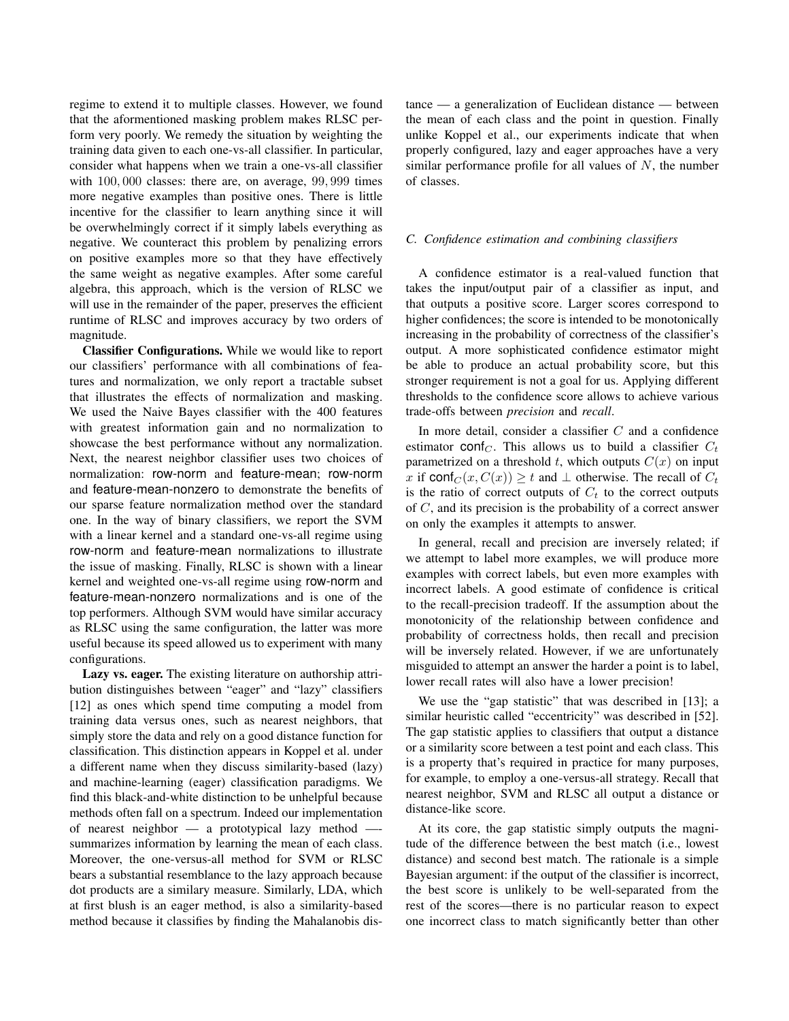regime to extend it to multiple classes. However, we found that the aformentioned masking problem makes RLSC perform very poorly. We remedy the situation by weighting the training data given to each one-vs-all classifier. In particular, consider what happens when we train a one-vs-all classifier with 100, 000 classes: there are, on average, 99, 999 times more negative examples than positive ones. There is little incentive for the classifier to learn anything since it will be overwhelmingly correct if it simply labels everything as negative. We counteract this problem by penalizing errors on positive examples more so that they have effectively the same weight as negative examples. After some careful algebra, this approach, which is the version of RLSC we will use in the remainder of the paper, preserves the efficient runtime of RLSC and improves accuracy by two orders of magnitude.

Classifier Configurations. While we would like to report our classifiers' performance with all combinations of features and normalization, we only report a tractable subset that illustrates the effects of normalization and masking. We used the Naive Bayes classifier with the 400 features with greatest information gain and no normalization to showcase the best performance without any normalization. Next, the nearest neighbor classifier uses two choices of normalization: row-norm and feature-mean; row-norm and feature-mean-nonzero to demonstrate the benefits of our sparse feature normalization method over the standard one. In the way of binary classifiers, we report the SVM with a linear kernel and a standard one-vs-all regime using row-norm and feature-mean normalizations to illustrate the issue of masking. Finally, RLSC is shown with a linear kernel and weighted one-vs-all regime using row-norm and feature-mean-nonzero normalizations and is one of the top performers. Although SVM would have similar accuracy as RLSC using the same configuration, the latter was more useful because its speed allowed us to experiment with many configurations.

Lazy vs. eager. The existing literature on authorship attribution distinguishes between "eager" and "lazy" classifiers [12] as ones which spend time computing a model from training data versus ones, such as nearest neighbors, that simply store the data and rely on a good distance function for classification. This distinction appears in Koppel et al. under a different name when they discuss similarity-based (lazy) and machine-learning (eager) classification paradigms. We find this black-and-white distinction to be unhelpful because methods often fall on a spectrum. Indeed our implementation of nearest neighbor  $-$  a prototypical lazy method  $$ summarizes information by learning the mean of each class. Moreover, the one-versus-all method for SVM or RLSC bears a substantial resemblance to the lazy approach because dot products are a similary measure. Similarly, LDA, which at first blush is an eager method, is also a similarity-based method because it classifies by finding the Mahalanobis distance — a generalization of Euclidean distance — between the mean of each class and the point in question. Finally unlike Koppel et al., our experiments indicate that when properly configured, lazy and eager approaches have a very similar performance profile for all values of  $N$ , the number of classes.

## *C. Confidence estimation and combining classifiers*

A confidence estimator is a real-valued function that takes the input/output pair of a classifier as input, and that outputs a positive score. Larger scores correspond to higher confidences; the score is intended to be monotonically increasing in the probability of correctness of the classifier's output. A more sophisticated confidence estimator might be able to produce an actual probability score, but this stronger requirement is not a goal for us. Applying different thresholds to the confidence score allows to achieve various trade-offs between *precision* and *recall*.

In more detail, consider a classifier C and a confidence estimator conf<sub>C</sub>. This allows us to build a classifier  $C_t$ parametrized on a threshold t, which outputs  $C(x)$  on input x if  $\text{conf}_C(x, C(x)) \ge t$  and  $\perp$  otherwise. The recall of  $C_t$ is the ratio of correct outputs of  $C_t$  to the correct outputs of C, and its precision is the probability of a correct answer on only the examples it attempts to answer.

In general, recall and precision are inversely related; if we attempt to label more examples, we will produce more examples with correct labels, but even more examples with incorrect labels. A good estimate of confidence is critical to the recall-precision tradeoff. If the assumption about the monotonicity of the relationship between confidence and probability of correctness holds, then recall and precision will be inversely related. However, if we are unfortunately misguided to attempt an answer the harder a point is to label, lower recall rates will also have a lower precision!

We use the "gap statistic" that was described in [13]; a similar heuristic called "eccentricity" was described in [52]. The gap statistic applies to classifiers that output a distance or a similarity score between a test point and each class. This is a property that's required in practice for many purposes, for example, to employ a one-versus-all strategy. Recall that nearest neighbor, SVM and RLSC all output a distance or distance-like score.

At its core, the gap statistic simply outputs the magnitude of the difference between the best match (i.e., lowest distance) and second best match. The rationale is a simple Bayesian argument: if the output of the classifier is incorrect, the best score is unlikely to be well-separated from the rest of the scores—there is no particular reason to expect one incorrect class to match significantly better than other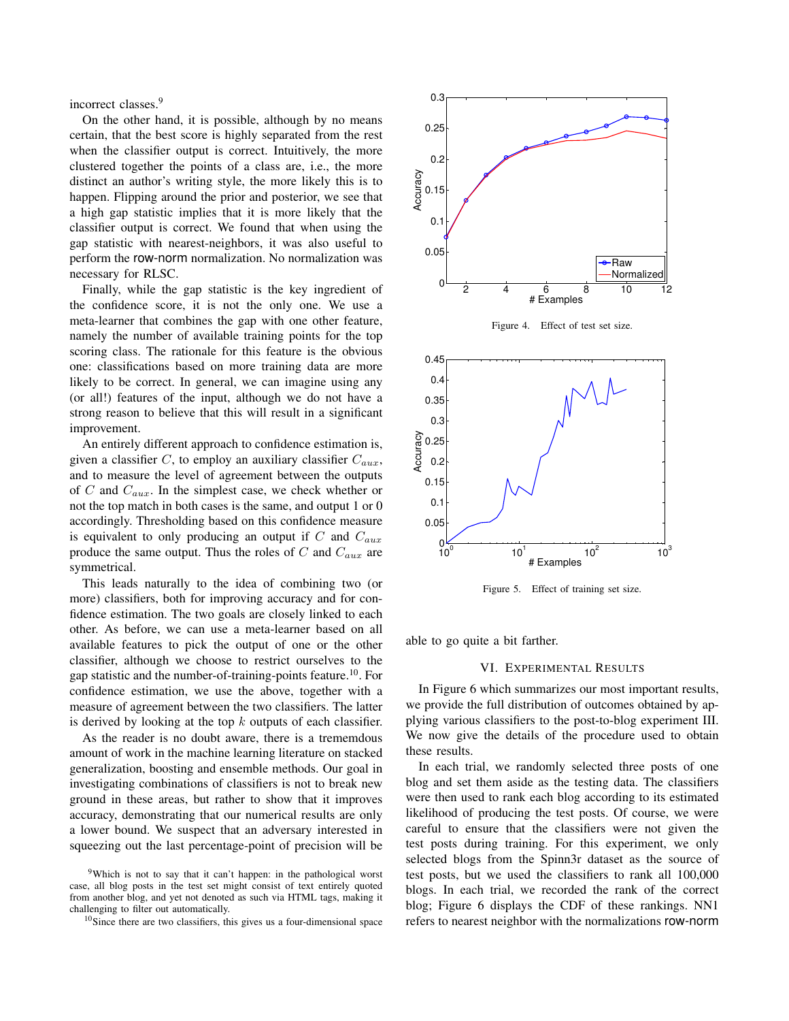incorrect classes.<sup>9</sup>

On the other hand, it is possible, although by no means certain, that the best score is highly separated from the rest when the classifier output is correct. Intuitively, the more clustered together the points of a class are, i.e., the more distinct an author's writing style, the more likely this is to happen. Flipping around the prior and posterior, we see that a high gap statistic implies that it is more likely that the classifier output is correct. We found that when using the gap statistic with nearest-neighbors, it was also useful to perform the row-norm normalization. No normalization was necessary for RLSC.

Finally, while the gap statistic is the key ingredient of the confidence score, it is not the only one. We use a meta-learner that combines the gap with one other feature, namely the number of available training points for the top scoring class. The rationale for this feature is the obvious one: classifications based on more training data are more likely to be correct. In general, we can imagine using any (or all!) features of the input, although we do not have a strong reason to believe that this will result in a significant improvement.

An entirely different approach to confidence estimation is, given a classifier  $C$ , to employ an auxiliary classifier  $C_{aux}$ , and to measure the level of agreement between the outputs of C and  $C_{aux}$ . In the simplest case, we check whether or not the top match in both cases is the same, and output 1 or 0 accordingly. Thresholding based on this confidence measure is equivalent to only producing an output if C and  $C_{aux}$ produce the same output. Thus the roles of  $C$  and  $C_{aux}$  are symmetrical.

This leads naturally to the idea of combining two (or more) classifiers, both for improving accuracy and for confidence estimation. The two goals are closely linked to each other. As before, we can use a meta-learner based on all available features to pick the output of one or the other classifier, although we choose to restrict ourselves to the gap statistic and the number-of-training-points feature.<sup>10</sup>. For confidence estimation, we use the above, together with a measure of agreement between the two classifiers. The latter is derived by looking at the top  $k$  outputs of each classifier.

As the reader is no doubt aware, there is a trememdous amount of work in the machine learning literature on stacked generalization, boosting and ensemble methods. Our goal in investigating combinations of classifiers is not to break new ground in these areas, but rather to show that it improves accuracy, demonstrating that our numerical results are only a lower bound. We suspect that an adversary interested in squeezing out the last percentage-point of precision will be



Figure 4. Effect of test set size.



Figure 5. Effect of training set size.

able to go quite a bit farther.

## VI. EXPERIMENTAL RESULTS

In Figure 6 which summarizes our most important results, we provide the full distribution of outcomes obtained by applying various classifiers to the post-to-blog experiment III. We now give the details of the procedure used to obtain these results.

In each trial, we randomly selected three posts of one blog and set them aside as the testing data. The classifiers were then used to rank each blog according to its estimated likelihood of producing the test posts. Of course, we were careful to ensure that the classifiers were not given the test posts during training. For this experiment, we only selected blogs from the Spinn3r dataset as the source of test posts, but we used the classifiers to rank all 100,000 blogs. In each trial, we recorded the rank of the correct blog; Figure 6 displays the CDF of these rankings. NN1 refers to nearest neighbor with the normalizations row-norm

<sup>9</sup>Which is not to say that it can't happen: in the pathological worst case, all blog posts in the test set might consist of text entirely quoted from another blog, and yet not denoted as such via HTML tags, making it challenging to filter out automatically.

<sup>&</sup>lt;sup>10</sup>Since there are two classifiers, this gives us a four-dimensional space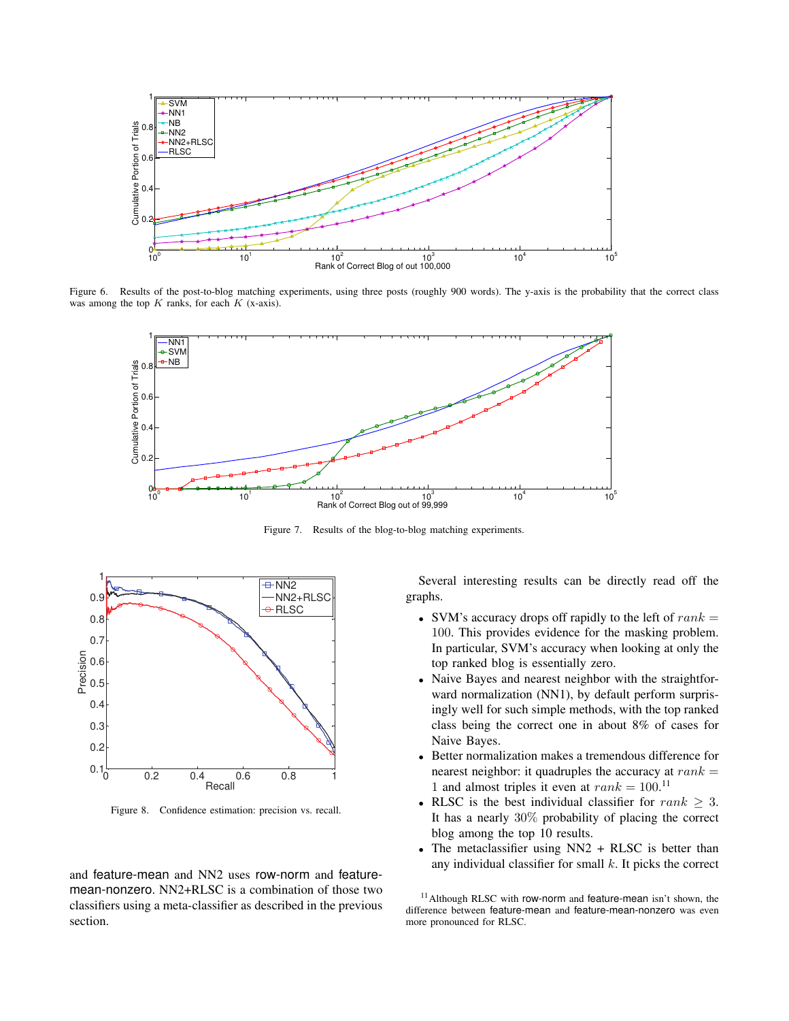

Figure 6. Results of the post-to-blog matching experiments, using three posts (roughly 900 words). The y-axis is the probability that the correct class was among the top  $K$  ranks, for each  $K$  (x-axis).



Figure 7. Results of the blog-to-blog matching experiments.



Figure 8. Confidence estimation: precision vs. recall.

and feature-mean and NN2 uses row-norm and featuremean-nonzero. NN2+RLSC is a combination of those two classifiers using a meta-classifier as described in the previous section.

Several interesting results can be directly read off the graphs.

- SVM's accuracy drops off rapidly to the left of  $rank =$ 100. This provides evidence for the masking problem. In particular, SVM's accuracy when looking at only the top ranked blog is essentially zero.
- Naive Bayes and nearest neighbor with the straightforward normalization (NN1), by default perform surprisingly well for such simple methods, with the top ranked class being the correct one in about 8% of cases for Naive Bayes.
- Better normalization makes a tremendous difference for nearest neighbor: it quadruples the accuracy at  $rank =$ 1 and almost triples it even at  $rank = 100$ .<sup>11</sup>
- RLSC is the best individual classifier for rank  $\geq 3$ . It has a nearly 30% probability of placing the correct blog among the top 10 results.
- The metaclassifier using NN2 + RLSC is better than any individual classifier for small  $k$ . It picks the correct

<sup>11</sup>Although RLSC with row-norm and feature-mean isn't shown, the difference between feature-mean and feature-mean-nonzero was even more pronounced for RLSC.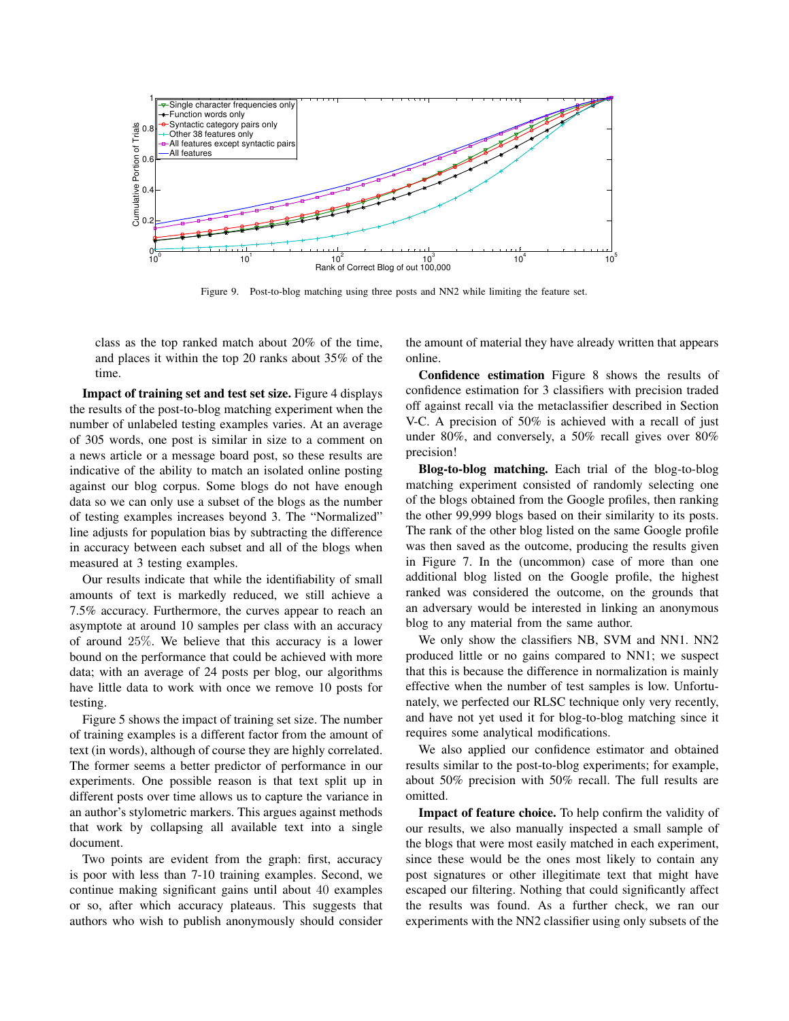

Figure 9. Post-to-blog matching using three posts and NN2 while limiting the feature set.

class as the top ranked match about 20% of the time, and places it within the top 20 ranks about 35% of the time.

Impact of training set and test set size. Figure 4 displays the results of the post-to-blog matching experiment when the number of unlabeled testing examples varies. At an average of 305 words, one post is similar in size to a comment on a news article or a message board post, so these results are indicative of the ability to match an isolated online posting against our blog corpus. Some blogs do not have enough data so we can only use a subset of the blogs as the number of testing examples increases beyond 3. The "Normalized" line adjusts for population bias by subtracting the difference in accuracy between each subset and all of the blogs when measured at 3 testing examples.

Our results indicate that while the identifiability of small amounts of text is markedly reduced, we still achieve a 7.5% accuracy. Furthermore, the curves appear to reach an asymptote at around 10 samples per class with an accuracy of around 25%. We believe that this accuracy is a lower bound on the performance that could be achieved with more data; with an average of 24 posts per blog, our algorithms have little data to work with once we remove 10 posts for testing.

Figure 5 shows the impact of training set size. The number of training examples is a different factor from the amount of text (in words), although of course they are highly correlated. The former seems a better predictor of performance in our experiments. One possible reason is that text split up in different posts over time allows us to capture the variance in an author's stylometric markers. This argues against methods that work by collapsing all available text into a single document.

Two points are evident from the graph: first, accuracy is poor with less than 7-10 training examples. Second, we continue making significant gains until about 40 examples or so, after which accuracy plateaus. This suggests that authors who wish to publish anonymously should consider the amount of material they have already written that appears online.

Confidence estimation Figure 8 shows the results of confidence estimation for 3 classifiers with precision traded off against recall via the metaclassifier described in Section V-C. A precision of 50% is achieved with a recall of just under 80%, and conversely, a 50% recall gives over 80% precision!

Blog-to-blog matching. Each trial of the blog-to-blog matching experiment consisted of randomly selecting one of the blogs obtained from the Google profiles, then ranking the other 99,999 blogs based on their similarity to its posts. The rank of the other blog listed on the same Google profile was then saved as the outcome, producing the results given in Figure 7. In the (uncommon) case of more than one additional blog listed on the Google profile, the highest ranked was considered the outcome, on the grounds that an adversary would be interested in linking an anonymous blog to any material from the same author.

We only show the classifiers NB, SVM and NN1. NN2 produced little or no gains compared to NN1; we suspect that this is because the difference in normalization is mainly effective when the number of test samples is low. Unfortunately, we perfected our RLSC technique only very recently, and have not yet used it for blog-to-blog matching since it requires some analytical modifications.

We also applied our confidence estimator and obtained results similar to the post-to-blog experiments; for example, about 50% precision with 50% recall. The full results are omitted.

Impact of feature choice. To help confirm the validity of our results, we also manually inspected a small sample of the blogs that were most easily matched in each experiment, since these would be the ones most likely to contain any post signatures or other illegitimate text that might have escaped our filtering. Nothing that could significantly affect the results was found. As a further check, we ran our experiments with the NN2 classifier using only subsets of the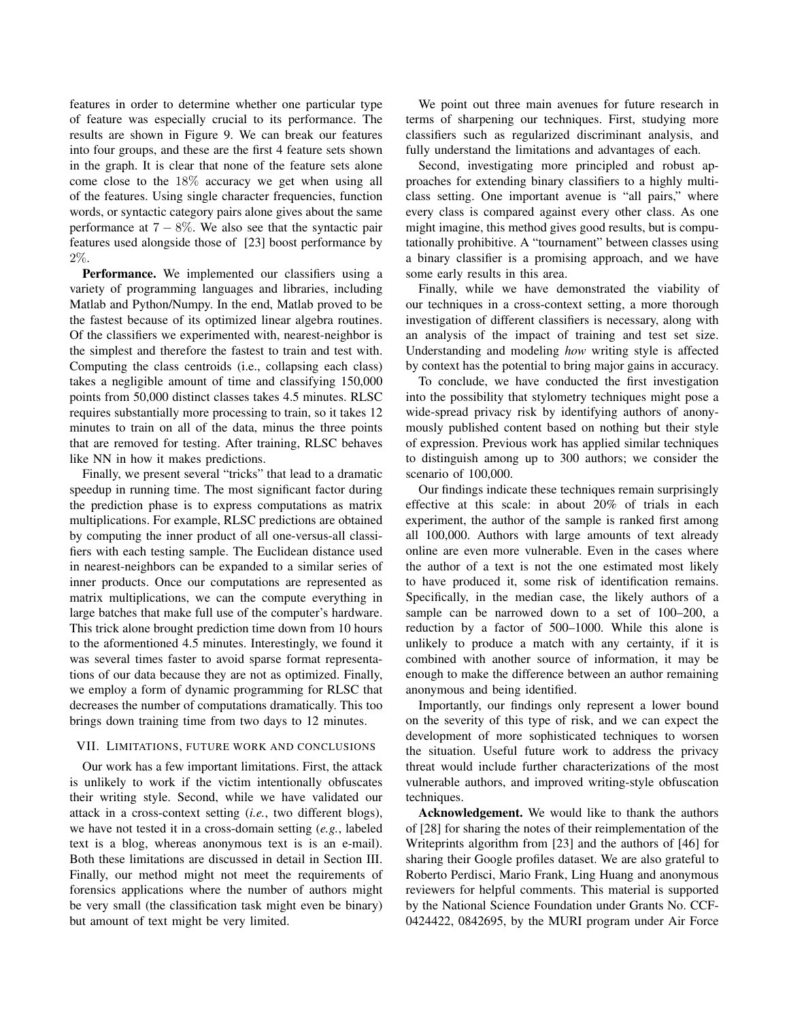features in order to determine whether one particular type of feature was especially crucial to its performance. The results are shown in Figure 9. We can break our features into four groups, and these are the first 4 feature sets shown in the graph. It is clear that none of the feature sets alone come close to the 18% accuracy we get when using all of the features. Using single character frequencies, function words, or syntactic category pairs alone gives about the same performance at  $7 - 8\%$ . We also see that the syntactic pair features used alongside those of [23] boost performance by 2%.

Performance. We implemented our classifiers using a variety of programming languages and libraries, including Matlab and Python/Numpy. In the end, Matlab proved to be the fastest because of its optimized linear algebra routines. Of the classifiers we experimented with, nearest-neighbor is the simplest and therefore the fastest to train and test with. Computing the class centroids (i.e., collapsing each class) takes a negligible amount of time and classifying 150,000 points from 50,000 distinct classes takes 4.5 minutes. RLSC requires substantially more processing to train, so it takes 12 minutes to train on all of the data, minus the three points that are removed for testing. After training, RLSC behaves like NN in how it makes predictions.

Finally, we present several "tricks" that lead to a dramatic speedup in running time. The most significant factor during the prediction phase is to express computations as matrix multiplications. For example, RLSC predictions are obtained by computing the inner product of all one-versus-all classifiers with each testing sample. The Euclidean distance used in nearest-neighbors can be expanded to a similar series of inner products. Once our computations are represented as matrix multiplications, we can the compute everything in large batches that make full use of the computer's hardware. This trick alone brought prediction time down from 10 hours to the aformentioned 4.5 minutes. Interestingly, we found it was several times faster to avoid sparse format representations of our data because they are not as optimized. Finally, we employ a form of dynamic programming for RLSC that decreases the number of computations dramatically. This too brings down training time from two days to 12 minutes.

## VII. LIMITATIONS, FUTURE WORK AND CONCLUSIONS

Our work has a few important limitations. First, the attack is unlikely to work if the victim intentionally obfuscates their writing style. Second, while we have validated our attack in a cross-context setting (*i.e.*, two different blogs), we have not tested it in a cross-domain setting (*e.g.*, labeled text is a blog, whereas anonymous text is is an e-mail). Both these limitations are discussed in detail in Section III. Finally, our method might not meet the requirements of forensics applications where the number of authors might be very small (the classification task might even be binary) but amount of text might be very limited.

We point out three main avenues for future research in terms of sharpening our techniques. First, studying more classifiers such as regularized discriminant analysis, and fully understand the limitations and advantages of each.

Second, investigating more principled and robust approaches for extending binary classifiers to a highly multiclass setting. One important avenue is "all pairs," where every class is compared against every other class. As one might imagine, this method gives good results, but is computationally prohibitive. A "tournament" between classes using a binary classifier is a promising approach, and we have some early results in this area.

Finally, while we have demonstrated the viability of our techniques in a cross-context setting, a more thorough investigation of different classifiers is necessary, along with an analysis of the impact of training and test set size. Understanding and modeling *how* writing style is affected by context has the potential to bring major gains in accuracy.

To conclude, we have conducted the first investigation into the possibility that stylometry techniques might pose a wide-spread privacy risk by identifying authors of anonymously published content based on nothing but their style of expression. Previous work has applied similar techniques to distinguish among up to 300 authors; we consider the scenario of 100,000.

Our findings indicate these techniques remain surprisingly effective at this scale: in about 20% of trials in each experiment, the author of the sample is ranked first among all 100,000. Authors with large amounts of text already online are even more vulnerable. Even in the cases where the author of a text is not the one estimated most likely to have produced it, some risk of identification remains. Specifically, in the median case, the likely authors of a sample can be narrowed down to a set of 100–200, a reduction by a factor of 500–1000. While this alone is unlikely to produce a match with any certainty, if it is combined with another source of information, it may be enough to make the difference between an author remaining anonymous and being identified.

Importantly, our findings only represent a lower bound on the severity of this type of risk, and we can expect the development of more sophisticated techniques to worsen the situation. Useful future work to address the privacy threat would include further characterizations of the most vulnerable authors, and improved writing-style obfuscation techniques.

Acknowledgement. We would like to thank the authors of [28] for sharing the notes of their reimplementation of the Writeprints algorithm from [23] and the authors of [46] for sharing their Google profiles dataset. We are also grateful to Roberto Perdisci, Mario Frank, Ling Huang and anonymous reviewers for helpful comments. This material is supported by the National Science Foundation under Grants No. CCF-0424422, 0842695, by the MURI program under Air Force